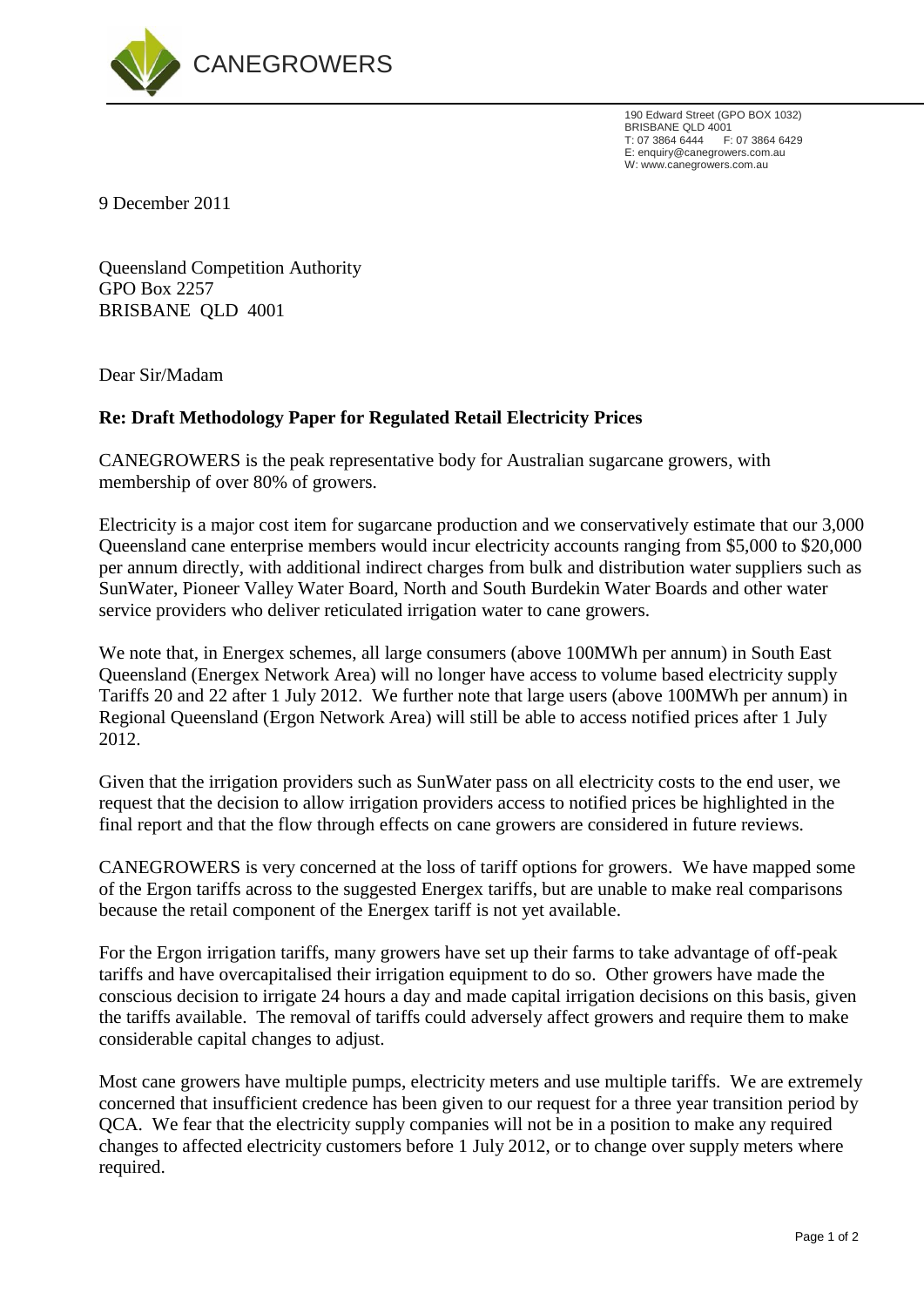

190 Edward Street (GPO BOX 1032) BRISBANE QLD 4001 T: 07 3864 6444 F: 07 3864 6429 E: enquiry@canegrowers.com.au W: www.canegrowers.com.au

9 December 2011

Queensland Competition Authority GPO Box 2257 BRISBANE QLD 4001

Dear Sir/Madam

## **Re: Draft Methodology Paper for Regulated Retail Electricity Prices**

CANEGROWERS is the peak representative body for Australian sugarcane growers, with membership of over 80% of growers.

Electricity is a major cost item for sugarcane production and we conservatively estimate that our 3,000 Queensland cane enterprise members would incur electricity accounts ranging from \$5,000 to \$20,000 per annum directly, with additional indirect charges from bulk and distribution water suppliers such as SunWater, Pioneer Valley Water Board, North and South Burdekin Water Boards and other water service providers who deliver reticulated irrigation water to cane growers.

We note that, in Energex schemes, all large consumers (above 100MWh per annum) in South East Queensland (Energex Network Area) will no longer have access to volume based electricity supply Tariffs 20 and 22 after 1 July 2012. We further note that large users (above 100MWh per annum) in Regional Queensland (Ergon Network Area) will still be able to access notified prices after 1 July 2012.

Given that the irrigation providers such as SunWater pass on all electricity costs to the end user, we request that the decision to allow irrigation providers access to notified prices be highlighted in the final report and that the flow through effects on cane growers are considered in future reviews.

CANEGROWERS is very concerned at the loss of tariff options for growers. We have mapped some of the Ergon tariffs across to the suggested Energex tariffs, but are unable to make real comparisons because the retail component of the Energex tariff is not yet available.

For the Ergon irrigation tariffs, many growers have set up their farms to take advantage of off-peak tariffs and have overcapitalised their irrigation equipment to do so. Other growers have made the conscious decision to irrigate 24 hours a day and made capital irrigation decisions on this basis, given the tariffs available. The removal of tariffs could adversely affect growers and require them to make considerable capital changes to adjust.

Most cane growers have multiple pumps, electricity meters and use multiple tariffs. We are extremely concerned that insufficient credence has been given to our request for a three year transition period by QCA. We fear that the electricity supply companies will not be in a position to make any required changes to affected electricity customers before 1 July 2012, or to change over supply meters where required.